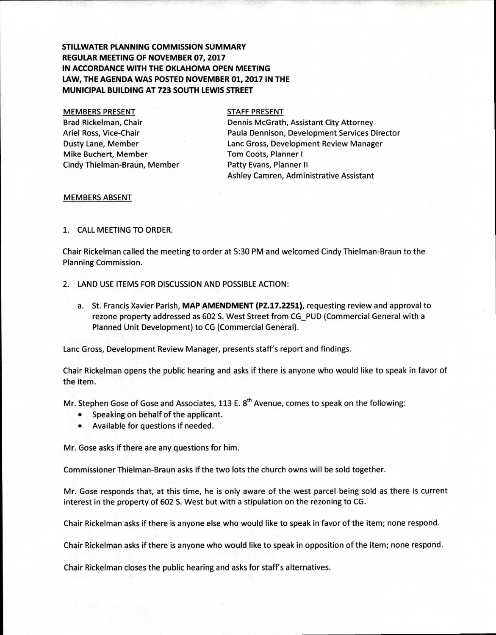# **STILLWATER PLANNING COMMISSION SUMMARY REGULAR MEETING OF NOVEMBER 07, 2017 IN ACCORDANCE WITH THE OKLAHOMA OPEN MEETING LAW, THE AGENDA WAS POSTED NOVEMBER 01, 2017 IN THE MUNICIPAL BUILDING AT 723 SOUTH LEWIS STREET**

### MEMBERS PRESENT

Brad Rickelman, Chair Ariel Ross, Vice-Chair Dusty Lane, Member Mike Buchert, Member Cindy Thielman-Braun, Member

#### STAFF PRESENT

Dennis McGrath, Assistant City Attorney Paula Dennison, Development Services Director Lanc Gross, Development Review Manager Tom Coots, Planner I Patty Evans, Planner II Ashley Camren, Administrative Assistant

#### MEMBERS ABSENT

## 1. CALL MEETING TO ORDER.

Chair Rickelman called the meeting to order at 5:30 PM and welcomed Cindy Thielman -Braun to the Planning Commission.

- 2. LAND USE ITEMS FOR DISCUSSION AND POSSIBLE ACTION:
	- a. St. Francis Xavier Parish, **MAP AMENDMENT (PZ.17.2251),** requesting review and approval to rezone property addressed as 602 S. West Street from CG\_PUD (Commercial General with a Planned Unit Development) to CG (Commercial General).

Lanc Gross, Development Review Manager, presents staff's report and findings.

Chair Rickelman opens the public hearing and asks if there is anyone who would like to speak in favor of the item.

Mr. Stephen Gose of Gose and Associates, 113 E. 8<sup>th</sup> Avenue, comes to speak on the following:

- Speaking on behalf of the applicant.
- Available for questions if needed.

Mr. Gose asks if there are any questions for him.

Commissioner Thielman-Braun asks if the two lots the church owns will be sold together.

Mr. Gose responds that, at this time, he is only aware of the west parcel being sold as there is current interest in the property of 602 S. West but with a stipulation on the rezoning to CG.

Chair Rickelman asks if there is anyone else who would like to speak in favor of the item; none respond.

Chair Rickelman asks if there is anyone who would like to speak in opposition of the item; none respond.

Chair Rickelman closes the public hearing and asks for staff's alternatives.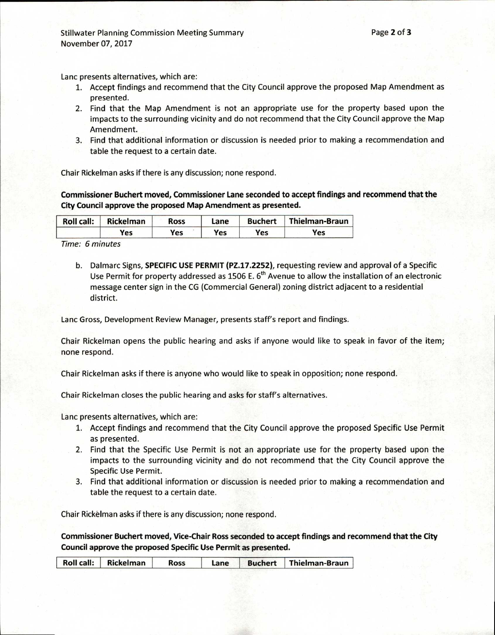Lanc presents alternatives, which are:

- 1. Accept findings and recommend that the City Council approve the proposed Map Amendment as presented.
- 2. Find that the Map Amendment is not an appropriate use for the property based upon the impacts to the surrounding vicinity and do not recommend that the City Council approve the Map Amendment.
- 3. Find that additional information or discussion is needed prior to making a recommendation and table the request to a certain date.

Chair Rickelman asks if there is any discussion; none respond.

**Commissioner Buchert moved, Commissioner Lane seconded to accept findings and recommend that the City Council approve the proposed Map Amendment as presented.** 

| <b>Roll call:</b> | Rickelman  | Ross | Lane | <b>Buchert</b> | <b>Thielman-Braun</b> |
|-------------------|------------|------|------|----------------|-----------------------|
|                   | <b>Yes</b> | Yes  | Yes  | Yes            | Yes                   |

Time: 6 minutes

b. Dalmarc Signs, **SPECIFIC USE PERMIT (PZ.17.2252),** requesting review and approval of a Specific Use Permit for property addressed as 1506 E.  $6<sup>th</sup>$  Avenue to allow the installation of an electronic message center sign in the CG (Commercial General) zoning district adjacent to a residential district.

Lanc Gross, Development Review Manager, presents staff's report and findings.

Chair Rickelman opens the public hearing and asks if anyone would like to speak in favor of the item; none respond.

Chair Rickelman asks if there is anyone who would like to speak in opposition; none respond.

Chair Rickelman closes the public hearing and asks for staff's alternatives.

Lanc presents alternatives, which are:

- 1. Accept findings and recommend that the City Council approve the proposed Specific Use Permit as presented.
- 2. Find that the Specific Use Permit is not an appropriate use for the property based upon the impacts to the surrounding vicinity and do not recommend that the City Council approve the Specific Use Permit.
- 3. Find that additional information or discussion is needed prior to making a recommendation and table the request to a certain date.

Chair Rickelman asks if there is any discussion; none respond.

**Commissioner Buchert moved, Vice-Chair Ross seconded to accept findings and recommend that the City Council approve the proposed Specific Use Permit as presented.** 

| Roll call: Rickelman<br>Buchert   Thielman-Braun |  |  | <b>Ross</b> | Lane |  |  |
|--------------------------------------------------|--|--|-------------|------|--|--|
|--------------------------------------------------|--|--|-------------|------|--|--|